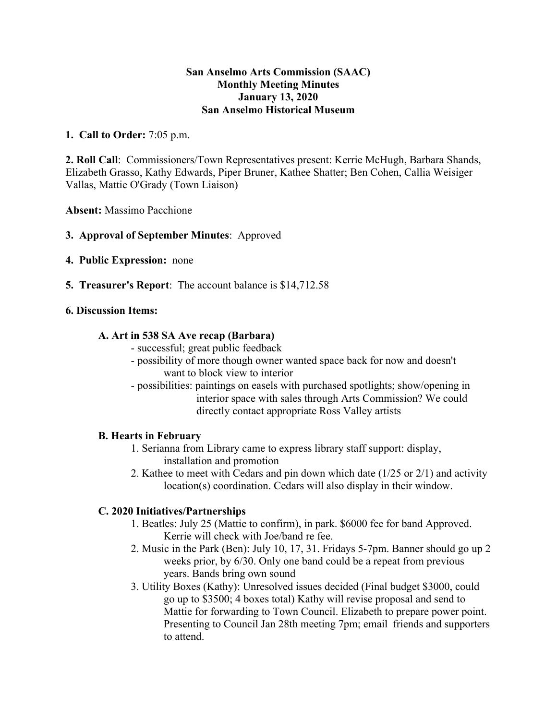#### **San Anselmo Arts Commission (SAAC) Monthly Meeting Minutes January 13, 2020 San Anselmo Historical Museum**

## **1. Call to Order:** 7:05 p.m.

**2. Roll Call**: Commissioners/Town Representatives present: Kerrie McHugh, Barbara Shands, Elizabeth Grasso, Kathy Edwards, Piper Bruner, Kathee Shatter; Ben Cohen, Callia Weisiger Vallas, Mattie O'Grady (Town Liaison)

**Absent:** Massimo Pacchione

### **3. Approval of September Minutes**: Approved

- **4. Public Expression:** none
- **5. Treasurer's Report**: The account balance is \$14,712.58

### **6. Discussion Items:**

#### **A. Art in 538 SA Ave recap (Barbara)**

- successful; great public feedback
- possibility of more though owner wanted space back for now and doesn't want to block view to interior
- possibilities: paintings on easels with purchased spotlights; show/opening in interior space with sales through Arts Commission? We could directly contact appropriate Ross Valley artists

#### **B. Hearts in February**

- 1. Serianna from Library came to express library staff support: display, installation and promotion
- 2. Kathee to meet with Cedars and pin down which date (1/25 or 2/1) and activity location(s) coordination. Cedars will also display in their window.

# **C. 2020 Initiatives/Partnerships**

- 1. Beatles: July 25 (Mattie to confirm), in park. \$6000 fee for band Approved. Kerrie will check with Joe/band re fee.
- 2. Music in the Park (Ben): July 10, 17, 31. Fridays 5-7pm. Banner should go up 2 weeks prior, by 6/30. Only one band could be a repeat from previous years. Bands bring own sound
- 3. Utility Boxes (Kathy): Unresolved issues decided (Final budget \$3000, could go up to \$3500; 4 boxes total) Kathy will revise proposal and send to Mattie for forwarding to Town Council. Elizabeth to prepare power point. Presenting to Council Jan 28th meeting 7pm; email friends and supporters to attend.